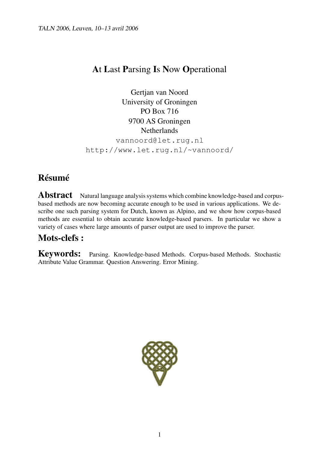# **A**t **L**ast **P**arsing **I**s **N**ow **O**perational

Gertjan van Noord University of Groningen PO Box 716 9700 AS Groningen Netherlands vannoord@let.rug.nl http://www.let.rug.nl/~vannoord/

# **Résumé**

Abstract Natural language analysis systems which combine knowledge-based and corpusbased methods are now becoming accurate enough to be used in various applications. We describe one such parsing system for Dutch, known as Alpino, and we show how corpus-based methods are essential to obtain accurate knowledge-based parsers. In particular we show a variety of cases where large amounts of parser output are used to improve the parser.

# **Mots-clefs :**

**Keywords:** Parsing. Knowledge-based Methods. Corpus-based Methods. Stochastic Attribute Value Grammar. Question Answering. Error Mining.

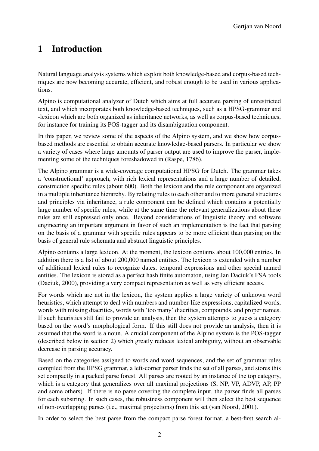# **1 Introduction**

Natural language analysis systems which exploit both knowledge-based and corpus-based techniques are now becoming accurate, efficient, and robust enough to be used in various applications.

Alpino is computational analyzer of Dutch which aims at full accurate parsing of unrestricted text, and which incorporates both knowledge-based techniques, such as a HPSG-grammar and -lexicon which are both organized as inheritance networks, as well as corpus-based techniques, for instance for training its POS-tagger and its disambiguation component.

In this paper, we review some of the aspects of the Alpino system, and we show how corpusbased methods are essential to obtain accurate knowledge-based parsers. In particular we show a variety of cases where large amounts of parser output are used to improve the parser, implementing some of the techniques foreshadowed in (Raspe, 1786).

The Alpino grammar is a wide-coverage computational HPSG for Dutch. The grammar takes a 'constructional' approach, with rich lexical representations and a large number of detailed, construction specific rules (about 600). Both the lexicon and the rule component are organized in a multiple inheritance hierarchy. By relating rules to each other and to more general structures and principles via inheritance, a rule component can be defined which contains a potentially large number of specific rules, while at the same time the relevant generalizations about these rules are still expressed only once. Beyond considerations of linguistic theory and software engineering an important argument in favor of such an implementation is the fact that parsing on the basis of a grammar with specific rules appears to be more efficient than parsing on the basis of general rule schemata and abstract linguistic principles.

Alpino contains a large lexicon. At the moment, the lexicon contains about 100,000 entries. In addition there is a list of about 200,000 named entities. The lexicon is extended with a number of additional lexical rules to recognize dates, temporal expressions and other special named entities. The lexicon is stored as a perfect hash finite automaton, using Jan Daciuk's FSA tools (Daciuk, 2000), providing a very compact representation as well as very efficient access.

For words which are not in the lexicon, the system applies a large variety of unknown word heuristics, which attempt to deal with numbers and number-like expressions, capitalized words, words with missing diacritics, words with 'too many' diacritics, compounds, and proper names. If such heuristics still fail to provide an analysis, then the system attempts to guess a category based on the word's morphological form. If this still does not provide an analysis, then it is assumed that the word is a noun. A crucial component of the Alpino system is the POS-tagger (described below in section 2) which greatly reduces lexical ambiguity, without an observable decrease in parsing accuracy.

Based on the categories assigned to words and word sequences, and the set of grammar rules compiled from the HPSG grammar, a left-corner parser finds the set of all parses, and stores this set compactly in a packed parse forest. All parses are rooted by an instance of the top category, which is a category that generalizes over all maximal projections (S, NP, VP, ADVP, AP, PP and some others). If there is no parse covering the complete input, the parser finds all parses for each substring. In such cases, the robustness component will then select the best sequence of non-overlapping parses (i.e., maximal projections) from this set (van Noord, 2001).

In order to select the best parse from the compact parse forest format, a best-first search al-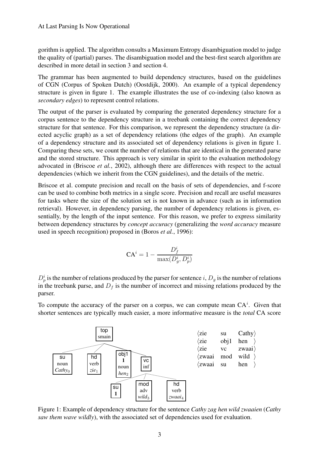gorithm is applied. The algorithm consults a Maximum Entropy disambiguation model to judge the quality of (partial) parses. The disambiguation model and the best-first search algorithm are described in more detail in section 3 and section 4.

The grammar has been augmented to build dependency structures, based on the guidelines of CGN (Corpus of Spoken Dutch) (Oostdijk, 2000). An example of a typical dependency structure is given in figure 1. The example illustrates the use of co-indexing (also known as *secondary edges*) to represent control relations.

The output of the parser is evaluated by comparing the generated dependency structure for a corpus sentence to the dependency structure in a treebank containing the correct dependency structure for that sentence. For this comparison, we represent the dependency structure (a directed acyclic graph) as a set of dependency relations (the edges of the graph). An example of a dependency structure and its associated set of dependency relations is given in figure 1. Comparing these sets, we count the number of relations that are identical in the generated parse and the stored structure. This approach is very similar in spirit to the evaluation methodology advocated in (Briscoe *et al.*, 2002), although there are differences with respect to the actual dependencies (which we inherit from the CGN guidelines), and the details of the metric.

Briscoe et al. compute precision and recall on the basis of sets of dependencies, and f-score can be used to combine both metrics in a single score. Precision and recall are useful measures for tasks where the size of the solution set is not known in advance (such as in information retrieval). However, in dependency parsing, the number of dependency relations is given, essentially, by the length of the input sentence. For this reason, we prefer to express similarity between dependency structures by *concept accuracy* (generalizing the *word accuracy* measure used in speech recognition) proposed in (Boros *et al.*, 1996):

$$
CA^i = 1 - \frac{D_f^i}{\max(D_g^i, D_p^i)}
$$

 $D_p^i$  is the number of relations produced by the parser for sentence i,  $D_g$  is the number of relations in the treebank parse, and  $D_f$  is the number of incorrect and missing relations produced by the parser.

To compute the accuracy of the parser on a corpus, we can compute mean  $CA<sup>i</sup>$ . Given that shorter sentences are typically much easier, a more informative measure is the *total* CA score



Figure 1: Example of dependency structure for the sentence *Cathy zag hen wild zwaaien* (*Cathy saw them wave wildly*), with the associated set of dependencies used for evaluation.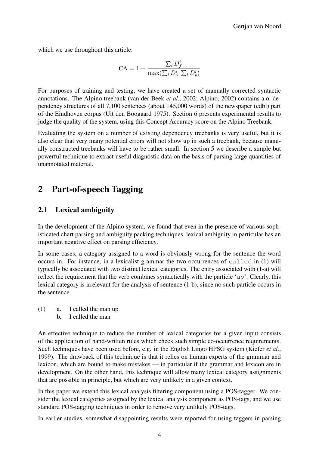which we use throughout this article:

$$
CA = 1 - \frac{\sum_{i} D_f^i}{\max(\sum_{i} D_g^i, \sum_{i} D_p^i)}
$$

For purposes of training and testing, we have created a set of manually corrected syntactic annotations. The Alpino treebank (van der Beek *et al.*, 2002; Alpino, 2002) contains a.o. dependency structures of all 7,100 sentences (about 145,000 words) of the newspaper (cdbl) part of the Eindhoven corpus (Uit den Boogaard 1975). Section 6 presents experimental results to judge the quality of the system, using this Concept Accuracy score on the Alpino Treebank.

Evaluating the system on a number of existing dependency treebanks is very useful, but it is also clear that very many potential errors will not show up in such a treebank, because manually constructed treebanks will have to be rather small. In section 5 we describe a simple but powerful technique to extract useful diagnostic data on the basis of parsing large quantities of unannotated material.

## **2 Part-of-speech Tagging**

#### **2.1 Lexical ambiguity**

In the development of the Alpino system, we found that even in the presence of various sophisticated chart parsing and ambiguity packing techniques, lexical ambiguity in particular has an important negative effect on parsing efficiency.

In some cases, a category assigned to a word is obviously wrong for the sentence the word occurs in. For instance, in a lexicalist grammar the two occurrences of called in (1) will typically be associated with two distinct lexical categories. The entry associated with (1-a) will reflect the requirement that the verb combines syntactically with the particle 'up'. Clearly, this lexical category is irrelevant for the analysis of sentence (1-b), since no such particle occurs in the sentence.

- (1) a. I called the man up
	- b. I called the man

An effective technique to reduce the number of lexical categories for a given input consists of the application of hand-written rules which check such simple co-occurrence requirements. Such techniques have been used before, e.g. in the English Lingo HPSG system (Kiefer *et al.*, 1999). The drawback of this technique is that it relies on human experts of the grammar and lexicon, which are bound to make mistakes — in particular if the grammar and lexicon are in development. On the other hand, this technique will allow many lexical category assignments that are possible in principle, but which are very unlikely in a given context.

In this paper we extend this lexical analysis filtering component using a POS-tagger. We consider the lexical categories assigned by the lexical analysis component as POS-tags, and we use standard POS-tagging techniques in order to remove very unlikely POS-tags.

In earlier studies, somewhat disappointing results were reported for using taggers in parsing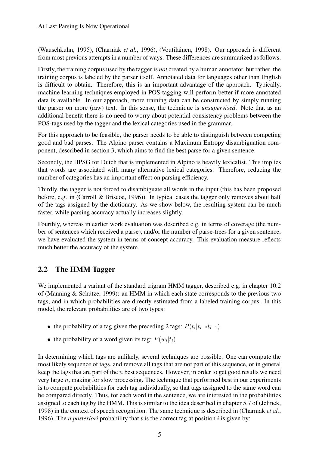(Wauschkuhn, 1995), (Charniak *et al.*, 1996), (Voutilainen, 1998). Our approach is different from most previous attempts in a number of ways. These differences are summarized as follows.

Firstly, the training corpus used by the tagger is *not* created by a human annotator, but rather, the training corpus is labeled by the parser itself. Annotated data for languages other than English is difficult to obtain. Therefore, this is an important advantage of the approach. Typically, machine learning techniques employed in POS-tagging will perform better if more annotated data is available. In our approach, more training data can be constructed by simply running the parser on more (raw) text. In this sense, the technique is *unsupervised*. Note that as an additional benefit there is no need to worry about potential consistency problems between the POS-tags used by the tagger and the lexical categories used in the grammar.

For this approach to be feasible, the parser needs to be able to distinguish between competing good and bad parses. The Alpino parser contains a Maximum Entropy disambiguation component, described in section 3, which aims to find the best parse for a given sentence.

Secondly, the HPSG for Dutch that is implemented in Alpino is heavily lexicalist. This implies that words are associated with many alternative lexical categories. Therefore, reducing the number of categories has an important effect on parsing efficiency.

Thirdly, the tagger is not forced to disambiguate all words in the input (this has been proposed before, e.g. in (Carroll & Briscoe, 1996)). In typical cases the tagger only removes about half of the tags assigned by the dictionary. As we show below, the resulting system can be much faster, while parsing accuracy actually increases slightly.

Fourthly, whereas in earlier work evaluation was described e.g. in terms of coverage (the number of sentences which received a parse), and/or the number of parse-trees for a given sentence, we have evaluated the system in terms of concept accuracy. This evaluation measure reflects much better the accuracy of the system.

#### **2.2 The HMM Tagger**

We implemented a variant of the standard trigram HMM tagger, described e.g. in chapter 10.2 of (Manning & Schütze, 1999): an HMM in which each state corresponds to the previous two tags, and in which probabilities are directly estimated from a labeled training corpus. In this model, the relevant probabilities are of two types:

- the probability of a tag given the preceding 2 tags:  $P(t_i | t_{i-2} t_{i-1})$
- the probability of a word given its tag:  $P(w_i|t_i)$

In determining which tags are unlikely, several techniques are possible. One can compute the most likely sequence of tags, and remove all tags that are not part of this sequence, or in general keep the tags that are part of the  $n$  best sequences. However, in order to get good results we need very large  $n$ , making for slow processing. The technique that performed best in our experiments is to compute probabilities for each tag individually, so that tags assigned to the same word can be compared directly. Thus, for each word in the sentence, we are interested in the probabilities assigned to each tag by the HMM. This is similar to the idea described in chapter 5.7 of (Jelinek, 1998) in the context of speech recognition. The same technique is described in (Charniak *et al.*, 1996). The *a posteriori* probability that  $t$  is the correct tag at position  $i$  is given by: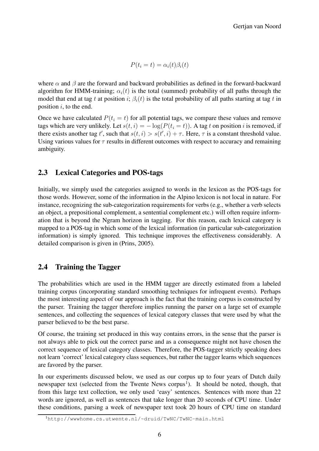$P(t_i = t) = \alpha_i(t)\beta_i(t)$ 

where  $\alpha$  and  $\beta$  are the forward and backward probabilities as defined in the forward-backward algorithm for HMM-training;  $\alpha_i(t)$  is the total (summed) probability of all paths through the model that end at tag t at position i;  $\beta_i(t)$  is the total probability of all paths starting at tag t in position  $i$ , to the end.

Once we have calculated  $P(t_i = t)$  for all potential tags, we compare these values and remove tags which are very unlikely. Let  $s(t, i) = -\log(P(t_i = t))$ . A tag t on position i is removed, if there exists another tag t', such that  $s(t, i) > s(t', i) + \tau$ . Here,  $\tau$  is a constant threshold value. Using various values for  $\tau$  results in different outcomes with respect to accuracy and remaining ambiguity.

#### **2.3 Lexical Categories and POS-tags**

Initially, we simply used the categories assigned to words in the lexicon as the POS-tags for those words. However, some of the information in the Alpino lexicon is not local in nature. For instance, recognizing the sub-categorization requirements for verbs (e.g., whether a verb selects an object, a prepositional complement, a sentential complement etc.) will often require information that is beyond the Ngram horizon in tagging. For this reason, each lexical category is mapped to a POS-tag in which some of the lexical information (in particular sub-categorization information) is simply ignored. This technique improves the effectiveness considerably. A detailed comparison is given in (Prins, 2005).

#### **2.4 Training the Tagger**

The probabilities which are used in the HMM tagger are directly estimated from a labeled training corpus (incorporating standard smoothing techniques for infrequent events). Perhaps the most interesting aspect of our approach is the fact that the training corpus is constructed by the parser. Training the tagger therefore implies running the parser on a large set of example sentences, and collecting the sequences of lexical category classes that were used by what the parser believed to be the best parse.

Of course, the training set produced in this way contains errors, in the sense that the parser is not always able to pick out the correct parse and as a consequence might not have chosen the correct sequence of lexical category classes. Therefore, the POS-tagger strictly speaking does not learn 'correct' lexical category class sequences, but rather the tagger learns which sequences are favored by the parser.

In our experiments discussed below, we used as our corpus up to four years of Dutch daily newspaper text (selected from the Twente News corpus<sup>1</sup>). It should be noted, though, that from this large text collection, we only used 'easy' sentences. Sentences with more than 22 words are ignored, as well as sentences that take longer than 20 seconds of CPU time. Under these conditions, parsing a week of newspaper text took 20 hours of CPU time on standard

<sup>1</sup>http://wwwhome.cs.utwente.nl/~druid/TwNC/TwNC-main.html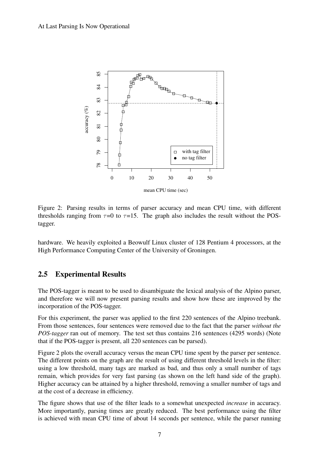

Figure 2: Parsing results in terms of parser accuracy and mean CPU time, with different thresholds ranging from  $\tau=0$  to  $\tau=15$ . The graph also includes the result without the POStagger.

hardware. We heavily exploited a Beowulf Linux cluster of 128 Pentium 4 processors, at the High Performance Computing Center of the University of Groningen.

#### **2.5 Experimental Results**

The POS-tagger is meant to be used to disambiguate the lexical analysis of the Alpino parser, and therefore we will now present parsing results and show how these are improved by the incorporation of the POS-tagger.

For this experiment, the parser was applied to the first 220 sentences of the Alpino treebank. From those sentences, four sentences were removed due to the fact that the parser *without the POS-tagger* ran out of memory. The test set thus contains 216 sentences (4295 words) (Note that if the POS-tagger is present, all 220 sentences can be parsed).

Figure 2 plots the overall accuracy versus the mean CPU time spent by the parser per sentence. The different points on the graph are the result of using different threshold levels in the filter: using a low threshold, many tags are marked as bad, and thus only a small number of tags remain, which provides for very fast parsing (as shown on the left hand side of the graph). Higher accuracy can be attained by a higher threshold, removing a smaller number of tags and at the cost of a decrease in efficiency.

The figure shows that use of the filter leads to a somewhat unexpected *increase* in accuracy. More importantly, parsing times are greatly reduced. The best performance using the filter is achieved with mean CPU time of about 14 seconds per sentence, while the parser running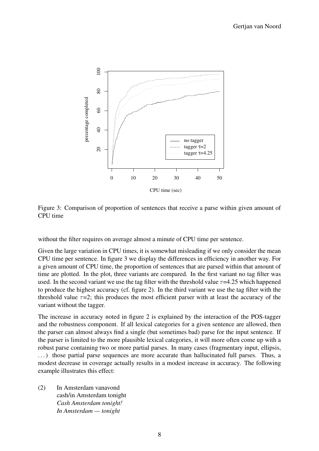

Figure 3: Comparison of proportion of sentences that receive a parse within given amount of CPU time

without the filter requires on average almost a minute of CPU time per sentence.

Given the large variation in CPU times, it is somewhat misleading if we only consider the mean CPU time per sentence. In figure 3 we display the differences in efficiency in another way. For a given amount of CPU time, the proportion of sentences that are parsed within that amount of time are plotted. In the plot, three variants are compared. In the first variant no tag filter was used. In the second variant we use the tag filter with the threshold value  $\tau$ =4.25 which happened to produce the highest accuracy (cf. figure 2). In the third variant we use the tag filter with the threshold value  $\tau=2$ ; this produces the most efficient parser with at least the accuracy of the variant without the tagger.

The increase in accuracy noted in figure 2 is explained by the interaction of the POS-tagger and the robustness component. If all lexical categories for a given sentence are allowed, then the parser can almost always find a single (but sometimes bad) parse for the input sentence. If the parser is limited to the more plausible lexical categories, it will more often come up with a robust parse containing two or more partial parses. In many cases (fragmentary input, ellipsis, . . .) those partial parse sequences are more accurate than hallucinated full parses. Thus, a modest decrease in coverage actually results in a modest increase in accuracy. The following example illustrates this effect:

(2) In Amsterdam vanavond cash/in Amsterdam tonight *Cash Amsterdam tonight! In Amsterdam — tonight*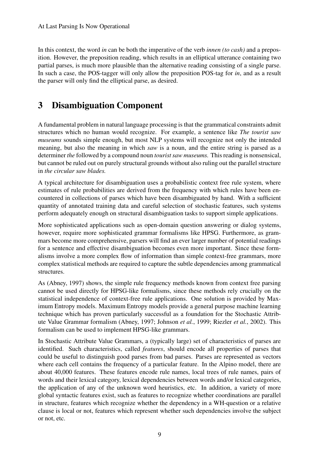In this context, the word *in* can be both the imperative of the verb *innen (to cash)* and a preposition. However, the preposition reading, which results in an elliptical utterance containing two partial parses, is much more plausible than the alternative reading consisting of a single parse. In such a case, the POS-tagger will only allow the preposition POS-tag for *in*, and as a result the parser will only find the elliptical parse, as desired.

# **3 Disambiguation Component**

A fundamental problem in natural language processing is that the grammatical constraints admit structures which no human would recognize. For example, a sentence like *The tourist saw museums* sounds simple enough, but most NLP systems will recognize not only the intended meaning, but also the meaning in which *saw* is a noun, and the entire string is parsed as a determiner *the* followed by a compound noun *tourist saw museums*. This reading is nonsensical, but cannot be ruled out on purely structural grounds without also ruling out the parallel structure in *the circular saw blades.*

A typical architecture for disambiguation uses a probabilistic context free rule system, where estimates of rule probabilities are derived from the frequency with which rules have been encountered in collections of parses which have been disambiguated by hand. With a sufficient quantity of annotated training data and careful selection of stochastic features, such systems perform adequately enough on structural disambiguation tasks to support simple applications.

More sophisticated applications such as open-domain question answering or dialog systems, however, require more sophisticated grammar formalisms like HPSG. Furthermore, as grammars become more comprehensive, parsers will find an ever larger number of potential readings for a sentence and effective disambiguation becomes even more important. Since these formalisms involve a more complex flow of information than simple context-free grammars, more complex statistical methods are required to capture the subtle dependencies among grammatical structures.

As (Abney, 1997) shows, the simple rule frequency methods known from context free parsing cannot be used directly for HPSG-like formalisms, since these methods rely crucially on the statistical independence of context-free rule applications. One solution is provided by Maximum Entropy models. Maximum Entropy models provide a general purpose machine learning technique which has proven particularly successful as a foundation for the Stochastic Attribute Value Grammar formalism (Abney, 1997; Johnson *et al.*, 1999; Riezler *et al.*, 2002). This formalism can be used to implement HPSG-like grammars.

In Stochastic Attribute Value Grammars, a (typically large) set of characteristics of parses are identified. Such characteristics, called *features*, should encode all properties of parses that could be useful to distinguish good parses from bad parses. Parses are represented as vectors where each cell contains the frequency of a particular feature. In the Alpino model, there are about 40,000 features. These features encode rule names, local trees of rule names, pairs of words and their lexical category, lexical dependencies between words and/or lexical categories, the application of any of the unknown word heuristics, etc. In addition, a variety of more global syntactic features exist, such as features to recognize whether coordinations are parallel in structure, features which recognize whether the dependency in a WH-question or a relative clause is local or not, features which represent whether such dependencies involve the subject or not, etc.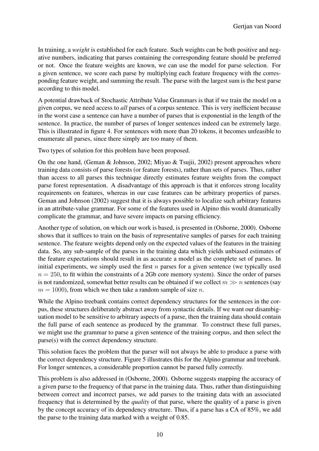In training, a *weight* is established for each feature. Such weights can be both positive and negative numbers, indicating that parses containing the corresponding feature should be preferred or not. Once the feature weights are known, we can use the model for parse selection. For a given sentence, we score each parse by multiplying each feature frequency with the corresponding feature weight, and summing the result. The parse with the largest sum is the best parse according to this model.

A potential drawback of Stochastic Attribute Value Grammars is that if we train the model on a given corpus, we need access to *all* parses of a corpus sentence. This is very inefficient because in the worst case a sentence can have a number of parses that is exponential in the length of the sentence. In practice, the number of parses of longer sentences indeed can be extremely large. This is illustrated in figure 4. For sentences with more than 20 tokens, it becomes unfeasible to enumerate all parses, since there simply are too many of them.

Two types of solution for this problem have been proposed.

On the one hand, (Geman & Johnson, 2002; Miyao & Tsujii, 2002) present approaches where training data consists of parse forests (or feature forests), rather than sets of parses. Thus, rather than access to all parses this technique directly estimates feature weights from the compact parse forest representation. A disadvantage of this approach is that it enforces strong locality requirements on features, whereas in our case features can be arbitrary properties of parses. Geman and Johnson (2002) suggest that it is always possible to localize such arbitrary features in an attribute-value grammar. For some of the features used in Alpino this would dramatically complicate the grammar, and have severe impacts on parsing efficiency.

Another type of solution, on which our work is based, is presented in (Osborne, 2000). Osborne shows that it suffices to train on the basis of representative samples of parses for each training sentence. The feature weights depend only on the expected values of the features in the training data. So, any sub-sample of the parses in the training data which yields unbiased estimates of the feature expectations should result in as accurate a model as the complete set of parses. In initial experiments, we simply used the first  $n$  parses for a given sentence (we typically used  $n = 250$ , to fit within the constraints of a 2Gb core memory system). Since the order of parses is not randomized, somewhat better results can be obtained if we collect  $m \gg n$  sentences (say  $m = 1000$ , from which we then take a random sample of size n.

While the Alpino treebank contains correct dependency structures for the sentences in the corpus, these structures deliberately abstract away from syntactic details. If we want our disambiguation model to be sensitive to arbitrary aspects of a parse, then the training data should contain the full parse of each sentence as produced by the grammar. To construct these full parses, we might use the grammar to parse a given sentence of the training corpus, and then select the parse(s) with the correct dependency structure.

This solution faces the problem that the parser will not always be able to produce a parse with the correct dependency structure. Figure 5 illustrates this for the Alpino grammar and treebank. For longer sentences, a considerable proportion cannot be parsed fully correctly.

This problem is also addressed in (Osborne, 2000). Osborne suggests mapping the accuracy of a given parse to the frequency of that parse in the training data. Thus, rather than distinguishing between correct and incorrect parses, we add parses to the training data with an associated frequency that is determined by the *quality* of that parse, where the quality of a parse is given by the concept accuracy of its dependency structure. Thus, if a parse has a CA of 85%, we add the parse to the training data marked with a weight of 0.85.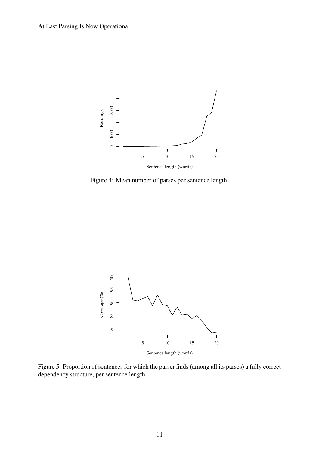

Figure 4: Mean number of parses per sentence length.



Figure 5: Proportion of sentences for which the parser finds (among all its parses) a fully correct dependency structure, per sentence length.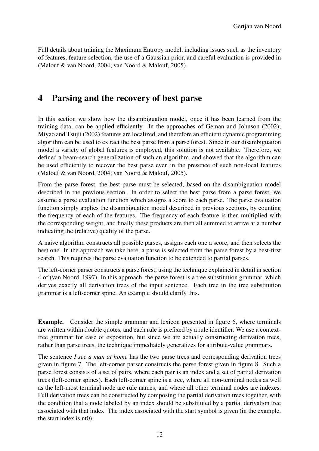Full details about training the Maximum Entropy model, including issues such as the inventory of features, feature selection, the use of a Gaussian prior, and careful evaluation is provided in (Malouf & van Noord, 2004; van Noord & Malouf, 2005).

### **4 Parsing and the recovery of best parse**

In this section we show how the disambiguation model, once it has been learned from the training data, can be applied efficiently. In the approaches of Geman and Johnson (2002); Miyao and Tsujii (2002) features are localized, and therefore an efficient dynamic programming algorithm can be used to extract the best parse from a parse forest. Since in our disambiguation model a variety of global features is employed, this solution is not available. Therefore, we defined a beam-search generalization of such an algorithm, and showed that the algorithm can be used efficiently to recover the best parse even in the presence of such non-local features (Malouf & van Noord, 2004; van Noord & Malouf, 2005).

From the parse forest, the best parse must be selected, based on the disambiguation model described in the previous section. In order to select the best parse from a parse forest, we assume a parse evaluation function which assigns a score to each parse. The parse evaluation function simply applies the disambiguation model described in previous sections, by counting the frequency of each of the features. The frequency of each feature is then multiplied with the corresponding weight, and finally these products are then all summed to arrive at a number indicating the (relative) quality of the parse.

A naive algorithm constructs all possible parses, assigns each one a score, and then selects the best one. In the approach we take here, a parse is selected from the parse forest by a best-first search. This requires the parse evaluation function to be extended to partial parses.

The left-corner parser constructs a parse forest, using the technique explained in detail in section 4 of (van Noord, 1997). In this approach, the parse forest is a tree substitution grammar, which derives exactly all derivation trees of the input sentence. Each tree in the tree substitution grammar is a left-corner spine. An example should clarify this.

**Example.** Consider the simple grammar and lexicon presented in figure 6, where terminals are written within double quotes, and each rule is prefixed by a rule identifier. We use a contextfree grammar for ease of exposition, but since we are actually constructing derivation trees, rather than parse trees, the technique immediately generalizes for attribute-value grammars.

The sentence *I see a man at home* has the two parse trees and corresponding derivation trees given in figure 7. The left-corner parser constructs the parse forest given in figure 8. Such a parse forest consists of a set of pairs, where each pair is an index and a set of partial derivation trees (left-corner spines). Each left-corner spine is a tree, where all non-terminal nodes as well as the left-most terminal node are rule names, and where all other terminal nodes are indexes. Full derivation trees can be constructed by composing the partial derivation trees together, with the condition that a node labeled by an index should be substituted by a partial derivation tree associated with that index. The index associated with the start symbol is given (in the example, the start index is nt0).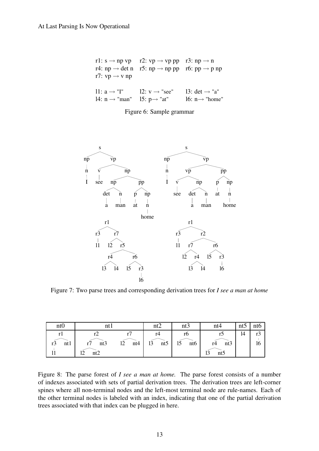| r7: $vp \rightarrow v np$                                                                               | r1: $s \rightarrow np$ vp r2: $vp \rightarrow vp$ pp r3: $np \rightarrow n$<br>r4: np $\rightarrow$ det n r5: np $\rightarrow$ np pp r6: pp $\rightarrow$ p np |                                                         |
|---------------------------------------------------------------------------------------------------------|----------------------------------------------------------------------------------------------------------------------------------------------------------------|---------------------------------------------------------|
| 11: $a \rightarrow "I"$ 12: $v \rightarrow "see"$<br>14: $n \rightarrow$ "man" 15: $p \rightarrow$ "at" |                                                                                                                                                                | 13: $det \rightarrow "a"$<br>16: $n \rightarrow$ "home" |

Figure 6: Sample grammar



Figure 7: Two parse trees and corresponding derivation trees for *I see a man at home*

| ntO       |                       |           | nt2                         | nt3                         | nt4                         | nt5 | nto          |
|-----------|-----------------------|-----------|-----------------------------|-----------------------------|-----------------------------|-----|--------------|
| ntl<br>r3 | nt3<br>າງ<br>nt2<br>∸ | 12<br>nt4 | r4<br>nt <sub>5</sub><br>13 | rb<br>15<br>nt <sub>6</sub> | nt3<br>r4<br>12<br>nt<br>IJ | 14  | $\sim$<br>16 |

Figure 8: The parse forest of *I see a man at home.* The parse forest consists of a number of indexes associated with sets of partial derivation trees. The derivation trees are left-corner spines where all non-terminal nodes and the left-most terminal node are rule-names. Each of the other terminal nodes is labeled with an index, indicating that one of the partial derivation trees associated with that index can be plugged in here.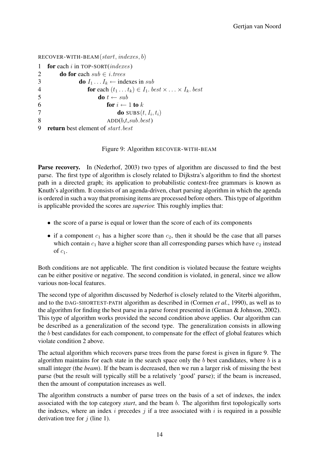RECOVER-WITH-BEAM(start, indexes, b) **for** each *i* in TOP-SORT(*indexes*) **do for** each  $sub \in i$ , trees **do**  $I_1 \tldots I_k \leftarrow$  indexes in sub **for** each  $(t_1 \dots t_k) \in I_1$ . *best*  $\times \dots \times I_k$ . *best* **do**  $t \leftarrow sub$ **for**  $i \leftarrow 1$  **to** k **do**  $SUBS(t, I_i, t_i)$  $ADD(b,t,sub.best)$ **return** best element of start.best

Figure 9: Algorithm RECOVER-WITH-BEAM

**Parse recovery.** In (Nederhof, 2003) two types of algorithm are discussed to find the best parse. The first type of algorithm is closely related to Dijkstra's algorithm to find the shortest path in a directed graph; its application to probabilistic context-free grammars is known as Knuth's algorithm. It consists of an agenda-driven, chart parsing algorithm in which the agenda is ordered in such a way that promising items are processed before others. This type of algorithm is applicable provided the scores are *superior.* This roughly implies that:

- the score of a parse is equal or lower than the score of each of its components
- if a component  $c_1$  has a higher score than  $c_2$ , then it should be the case that all parses which contain  $c_1$  have a higher score than all corresponding parses which have  $c_2$  instead of  $c_1$ .

Both conditions are not applicable. The first condition is violated because the feature weights can be either positive or negative. The second condition is violated, in general, since we allow various non-local features.

The second type of algorithm discussed by Nederhof is closely related to the Viterbi algorithm, and to the DAG-SHORTEST-PATH algorithm as described in (Cormen *et al.*, 1990), as well as to the algorithm for finding the best parse in a parse forest presented in (Geman & Johnson, 2002). This type of algorithm works provided the second condition above applies. Our algorithm can be described as a generalization of the second type. The generalization consists in allowing the b best candidates for each component, to compensate for the effect of global features which violate condition 2 above.

The actual algorithm which recovers parse trees from the parse forest is given in figure 9. The algorithm maintains for each state in the search space only the  $b$  best candidates, where  $b$  is a small integer (the *beam*). If the beam is decreased, then we run a larger risk of missing the best parse (but the result will typically still be a relatively 'good' parse); if the beam is increased, then the amount of computation increases as well.

The algorithm constructs a number of parse trees on the basis of a set of indexes, the index associated with the top category *start*, and the beam b. The algorithm first topologically sorts the indexes, where an index  $i$  precedes  $j$  if a tree associated with  $i$  is required in a possible derivation tree for  $j$  (line 1).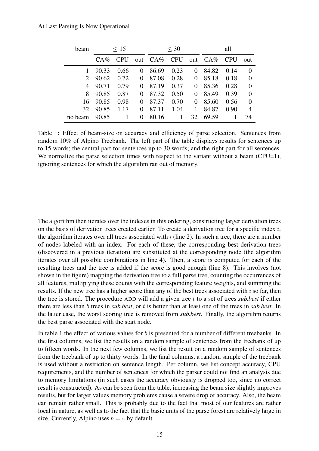| beam    | $\leq 15$ |            |          | $<$ 30      |      |    | all        |            |          |
|---------|-----------|------------|----------|-------------|------|----|------------|------------|----------|
|         | $C A \%$  | <b>CPU</b> |          | out CA% CPU |      |    | out $CA\%$ | <b>CPU</b> | out      |
|         | 90.33     | 0.66       | $\theta$ | 86.69       | 0.23 | 0  | 84.82      | 0.14       | $\Omega$ |
|         | 90.62     | 0.72       | 0        | 87.08       | 0.28 | 0  | 85.18      | 0.18       | $\Omega$ |
| 4       | 90.71     | 0.79       | 0        | 87.19       | 0.37 | 0  | 85.36      | 0.28       | $\Omega$ |
| 8       | 90.85     | 0.87       | 0        | 87.32       | 0.50 | 0  | 85.49      | 0.39       | $\Omega$ |
| 16      | 90.85     | 0.98       | 0        | 87.37       | 0.70 | 0  | 85.60      | 0.56       | $\theta$ |
| 32      | 90.85     | 1.17       | 0        | 87.11       | 1.04 | 1  | 84.87      | 0.90       | 4        |
| no beam | 90.85     |            | 0        | 80.16       |      | 32 | 69.59      |            | 74       |

Table 1: Effect of beam-size on accuracy and efficiency of parse selection. Sentences from random 10% of Alpino Treebank. The left part of the table displays results for sentences up to 15 words; the central part for sentences up to 30 words; and the right part for all sentences. We normalize the parse selection times with respect to the variant without a beam (CPU=1), ignoring sentences for which the algorithm ran out of memory.

The algorithm then iterates over the indexes in this ordering, constructing larger derivation trees on the basis of derivation trees created earlier. To create a derivation tree for a specific index i, the algorithm iterates over all trees associated with  $i$  (line 2). In such a tree, there are a number of nodes labeled with an index. For each of these, the corresponding best derivation trees (discovered in a previous iteration) are substituted at the corresponding node (the algorithm iterates over all possible combinations in line 4). Then, a score is computed for each of the resulting trees and the tree is added if the score is good enough (line 8). This involves (not shown in the figure) mapping the derivation tree to a full parse tree, counting the occurrences of all features, multiplying these counts with the corresponding feature weights, and summing the results. If the new tree has a higher score than any of the best trees associated with  $i$  so far, then the tree is stored. The procedure ADD will add a given tree t to a set of trees *sub.best* if either there are less than b trees in *sub.best*, or t is better than at least one of the trees in *sub.best*. In the latter case, the worst scoring tree is removed from *sub.best*. Finally, the algorithm returns the best parse associated with the start node.

In table 1 the effect of various values for b is presented for a number of different treebanks. In the first columns, we list the results on a random sample of sentences from the treebank of up to fifteen words. In the next few columns, we list the result on a random sample of sentences from the treebank of up to thirty words. In the final columns, a random sample of the treebank is used without a restriction on sentence length. Per column, we list concept accuracy, CPU requirements, and the number of sentences for which the parser could not find an analysis due to memory limitations (in such cases the accuracy obviously is dropped too, since no correct result is constructed). As can be seen from the table, increasing the beam size slightly improves results, but for larger values memory problems cause a severe drop of accuracy. Also, the beam can remain rather small. This is probably due to the fact that most of our features are rather local in nature, as well as to the fact that the basic units of the parse forest are relatively large in size. Currently, Alpino uses  $b = 4$  by default.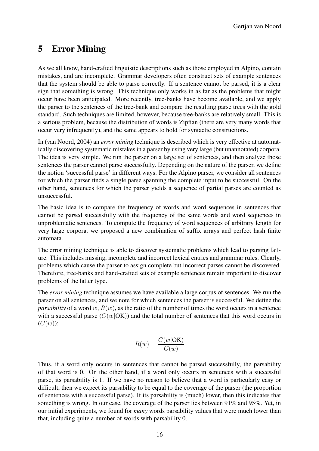## **5 Error Mining**

As we all know, hand-crafted linguistic descriptions such as those employed in Alpino, contain mistakes, and are incomplete. Grammar developers often construct sets of example sentences that the system should be able to parse correctly. If a sentence cannot be parsed, it is a clear sign that something is wrong. This technique only works in as far as the problems that might occur have been anticipated. More recently, tree-banks have become available, and we apply the parser to the sentences of the tree-bank and compare the resulting parse trees with the gold standard. Such techniques are limited, however, because tree-banks are relatively small. This is a serious problem, because the distribution of words is Zipfian (there are very many words that occur very infrequently), and the same appears to hold for syntactic constructions.

In (van Noord, 2004) an *error mining* technique is described which is very effective at automatically discovering systematic mistakes in a parser by using very large (but unannotated) corpora. The idea is very simple. We run the parser on a large set of sentences, and then analyze those sentences the parser cannot parse successfully. Depending on the nature of the parser, we define the notion 'successful parse' in different ways. For the Alpino parser, we consider all sentences for which the parser finds a single parse spanning the complete input to be successful. On the other hand, sentences for which the parser yields a sequence of partial parses are counted as unsuccessful.

The basic idea is to compare the frequency of words and word sequences in sentences that cannot be parsed successfully with the frequency of the same words and word sequences in unproblematic sentences. To compute the frequency of word sequences of arbitrary length for very large corpora, we proposed a new combination of suffix arrays and perfect hash finite automata.

The error mining technique is able to discover systematic problems which lead to parsing failure. This includes missing, incomplete and incorrect lexical entries and grammar rules. Clearly, problems which cause the parser to assign complete but incorrect parses cannot be discovered. Therefore, tree-banks and hand-crafted sets of example sentences remain important to discover problems of the latter type.

The *error mining* technique assumes we have available a large corpus of sentences. We run the parser on all sentences, and we note for which sentences the parser is successful. We define the *parsability* of a word w,  $R(w)$ , as the ratio of the number of times the word occurs in a sentence with a successful parse  $(C(w|OK))$  and the total number of sentences that this word occurs in  $(C(w))$ :

$$
R(w) = \frac{C(w|\text{OK})}{C(w)}
$$

Thus, if a word only occurs in sentences that cannot be parsed successfully, the parsability of that word is 0. On the other hand, if a word only occurs in sentences with a successful parse, its parsability is 1. If we have no reason to believe that a word is particularly easy or difficult, then we expect its parsability to be equal to the coverage of the parser (the proportion of sentences with a successful parse). If its parsability is (much) lower, then this indicates that something is wrong. In our case, the coverage of the parser lies between 91% and 95%. Yet, in our initial experiments, we found for *many* words parsability values that were much lower than that, including quite a number of words with parsability 0.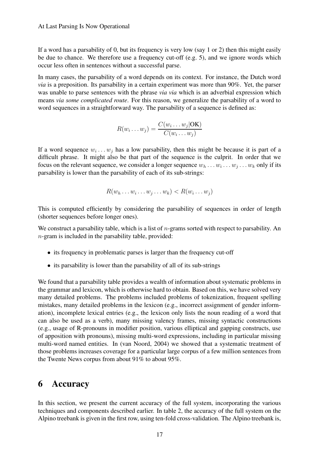If a word has a parsability of 0, but its frequency is very low (say 1 or 2) then this might easily be due to chance. We therefore use a frequency cut-off (e.g. 5), and we ignore words which occur less often in sentences without a successful parse.

In many cases, the parsability of a word depends on its context. For instance, the Dutch word *via* is a preposition. Its parsability in a certain experiment was more than 90%. Yet, the parser was unable to parse sentences with the phrase *via via* which is an adverbial expression which means *via some complicated route*. For this reason, we generalize the parsability of a word to word sequences in a straightforward way. The parsability of a sequence is defined as:

$$
R(w_i \dots w_j) = \frac{C(w_i \dots w_j | OK)}{C(w_i \dots w_j)}
$$

If a word sequence  $w_i \dots w_j$  has a low parsability, then this might be because it is part of a difficult phrase. It might also be that part of the sequence is the culprit. In order that we focus on the relevant sequence, we consider a longer sequence  $w_h \dots w_i \dots w_j \dots w_k$  only if its parsability is lower than the parsability of each of its sub-strings:

$$
R(w_h \dots w_i \dots w_j \dots w_k) < R(w_i \dots w_j)
$$

This is computed efficiently by considering the parsability of sequences in order of length (shorter sequences before longer ones).

We construct a parsability table, which is a list of  $n$ -grams sorted with respect to parsability. An n-gram is included in the parsability table, provided:

- its frequency in problematic parses is larger than the frequency cut-off
- its parsability is lower than the parsability of all of its sub-strings

We found that a parsability table provides a wealth of information about systematic problems in the grammar and lexicon, which is otherwise hard to obtain. Based on this, we have solved very many detailed problems. The problems included problems of tokenization, frequent spelling mistakes, many detailed problems in the lexicon (e.g., incorrect assignment of gender information), incomplete lexical entries (e.g., the lexicon only lists the noun reading of a word that can also be used as a verb), many missing valency frames, missing syntactic constructions (e.g., usage of R-pronouns in modifier position, various elliptical and gapping constructs, use of apposition with pronouns), missing multi-word expressions, including in particular missing multi-word named entities. In (van Noord, 2004) we showed that a systematic treatment of those problems increases coverage for a particular large corpus of a few million sentences from the Twente News corpus from about 91% to about 95%.

### **6 Accuracy**

In this section, we present the current accuracy of the full system, incorporating the various techniques and components described earlier. In table 2, the accuracy of the full system on the Alpino treebank is given in the first row, using ten-fold cross-validation. The Alpino treebank is,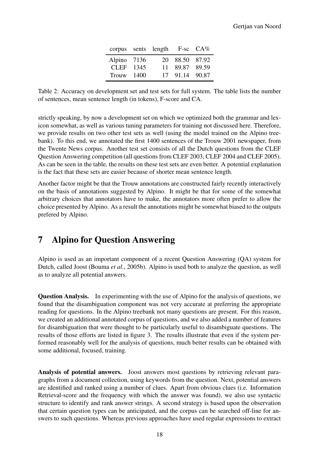|              | corpus sents length $F-sc$ $CA\%$ |                |  |
|--------------|-----------------------------------|----------------|--|
| Alpino 7136  |                                   | 20 88.50 87.92 |  |
| CLEF 1345    |                                   | 11 89.87 89.59 |  |
| Trouw $1400$ |                                   | 17 91.14 90.87 |  |

Table 2: Accuracy on development set and test sets for full system. The table lists the number of sentences, mean sentence length (in tokens), F-score and CA.

strictly speaking, by now a development set on which we optimized both the grammar and lexicon somewhat, as well as various tuning parameters for training not discussed here. Therefore, we provide results on two other test sets as well (using the model trained on the Alpino treebank). To this end, we annotated the first 1400 sentences of the Trouw 2001 newspaper, from the Twente News corpus. Another test set consists of all the Dutch questions from the CLEF Question Answering competition (all questions from CLEF 2003, CLEF 2004 and CLEF 2005). As can be seen in the table, the results on these test sets are even better. A potential explanation is the fact that these sets are easier because of shorter mean sentence length.

Another factor might be that the Trouw annotations are constructed fairly recently interactively on the basis of annotations suggested by Alpino. It might be that for some of the somewhat arbitrary choices that annotators have to make, the annotators more often prefer to allow the choice presented by Alpino. As a result the annotations might be somewhat biased to the outputs prefered by Alpino.

### **7 Alpino for Question Answering**

Alpino is used as an important component of a recent Question Answering (QA) system for Dutch, called Joost (Bouma *et al.*, 2005b). Alpino is used both to analyze the question, as well as to analyze all potential answers.

**Question Analysis.** In experimenting with the use of Alpino for the analysis of questions, we found that the disambiguation component was not very accurate at preferring the appropriate reading for questions. In the Alpino treebank not many questions are present. For this reason, we created an additional annotated corpus of questions, and we also added a number of features for disambiguation that were thought to be particularly useful to disambiguate questions. The results of those efforts are listed in figure 3. The results illustrate that even if the system performed reasonably well for the analysis of questions, much better results can be obtained with some additional, focused, training.

**Analysis of potential answers.** Joost answers most questions by retrieving relevant paragraphs from a document collection, using keywords from the question. Next, potential answers are identified and ranked using a number of clues. Apart from obvious clues (i.e. Information Retrieval-score and the frequency with which the answer was found), we also use syntactic structure to identify and rank answer strings. A second strategy is based upon the observation that certain question types can be anticipated, and the corpus can be searched off-line for answers to such questions. Whereas previous approaches have used regular expressions to extract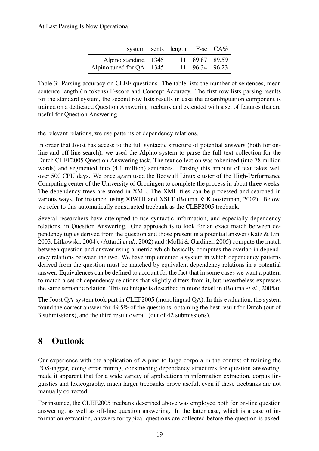#### At Last Parsing Is Now Operational

|                          | system sents length F-sc CA% |                |  |
|--------------------------|------------------------------|----------------|--|
| Alpino standard 1345     |                              | 11 89.87 89.59 |  |
| Alpino tuned for QA 1345 |                              | 11 96.34 96.23 |  |

Table 3: Parsing accuracy on CLEF questions. The table lists the number of sentences, mean sentence length (in tokens) F-score and Concept Accuracy. The first row lists parsing results for the standard system, the second row lists results in case the disambiguation component is trained on a dedicated Question Answering treebank and extended with a set of features that are useful for Question Answering.

the relevant relations, we use patterns of dependency relations.

In order that Joost has access to the full syntactic structure of potential answers (both for online and off-line search), we used the Alpino-system to parse the full text collection for the Dutch CLEF2005 Question Answering task. The text collection was tokenized (into 78 million words) and segmented into (4.1 million) sentences. Parsing this amount of text takes well over 500 CPU days. We once again used the Beowulf Linux cluster of the High-Performance Computing center of the University of Groningen to complete the process in about three weeks. The dependency trees are stored in XML. The XML files can be processed and searched in various ways, for instance, using XPATH and XSLT (Bouma & Kloosterman, 2002). Below, we refer to this automatically constructed treebank as the CLEF2005 treebank.

Several researchers have attempted to use syntactic information, and especially dependency relations, in Question Answering. One approach is to look for an exact match between dependency tuples derived from the question and those present in a potential answer (Katz & Lin, 2003; Litkowski, 2004). (Attardi *et al.*, 2002) and (Mollá & Gardiner, 2005) compute the match between question and answer using a metric which basically computes the overlap in dependency relations between the two. We have implemented a system in which dependency patterns derived from the question must be matched by equivalent dependency relations in a potential answer. Equivalences can be defined to account for the fact that in some cases we want a pattern to match a set of dependency relations that slightly differs from it, but nevertheless expresses the same semantic relation. This technique is described in more detail in (Bouma *et al.*, 2005a).

The Joost QA-system took part in CLEF2005 (monolingual QA). In this evaluation, the system found the correct answer for 49.5% of the questions, obtaining the best result for Dutch (out of 3 submissions), and the third result overall (out of 42 submissions).

### **8 Outlook**

Our experience with the application of Alpino to large corpora in the context of training the POS-tagger, doing error mining, constructing dependency structures for question answering, made it apparent that for a wide variety of applications in information extraction, corpus linguistics and lexicography, much larger treebanks prove useful, even if these treebanks are not manually corrected.

For instance, the CLEF2005 treebank described above was employed both for on-line question answering, as well as off-line question answering. In the latter case, which is a case of information extraction, answers for typical questions are collected before the question is asked,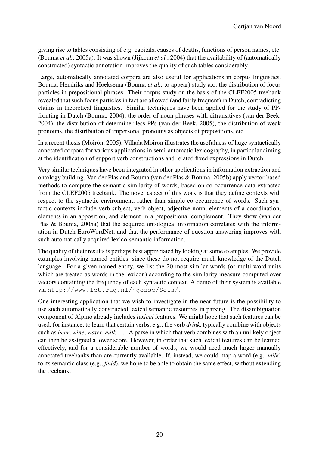giving rise to tables consisting of e.g. capitals, causes of deaths, functions of person names, etc. (Bouma *et al.*, 2005a). It was shown (Jijkoun *et al.*, 2004) that the availability of (automatically constructed) syntactic annotation improves the quality of such tables considerably.

Large, automatically annotated corpora are also useful for applications in corpus linguistics. Bouma, Hendriks and Hoeksema (Bouma *et al.*, to appear) study a.o. the distribution of focus particles in prepositional phrases. Their corpus study on the basis of the CLEF2005 treebank revealed that such focus particles in fact are allowed (and fairly frequent) in Dutch, contradicting claims in theoretical linguistics. Similar techniques have been applied for the study of PPfronting in Dutch (Bouma, 2004), the order of noun phrases with ditransitives (van der Beek, 2004), the distribution of determiner-less PPs (van der Beek, 2005), the distribution of weak pronouns, the distribution of impersonal pronouns as objects of prepositions, etc.

In a recent thesis (Moirón, 2005), Villada Moirón illustrates the usefulness of huge syntactically annotated corpora for various applications in semi-automatic lexicography, in particular aiming at the identification of support verb constructions and related fixed expressions in Dutch.

Very similar techniques have been integrated in other applications in information extraction and ontology building. Van der Plas and Bouma (van der Plas & Bouma, 2005b) apply vector-based methods to compute the semantic similarity of words, based on co-occurrence data extracted from the CLEF2005 treebank. The novel aspect of this work is that they define contexts with respect to the syntactic environment, rather than simple co-occurrence of words. Such syntactic contexts include verb-subject, verb-object, adjective-noun, elements of a coordination, elements in an apposition, and element in a prepositional complement. They show (van der Plas & Bouma, 2005a) that the acquired ontological information correlates with the information in Dutch EuroWordNet, and that the performance of question answering improves with such automatically acquired lexico-semantic information.

The quality of their results is perhaps best appreciated by looking at some examples. We provide examples involving named entities, since these do not require much knowledge of the Dutch language. For a given named entity, we list the 20 most similar words (or multi-word-units which are treated as words in the lexicon) according to the similarity measure computed over vectors containing the frequency of each syntactic context. A demo of their system is available via http://www.let.rug.nl/~gosse/Sets/.

One interesting application that we wish to investigate in the near future is the possibility to use such automatically constructed lexical semantic resources in parsing. The disambiguation component of Alpino already includes *lexical* features. We might hope that such features can be used, for instance, to learn that certain verbs, e.g., the verb *drink*, typically combine with objects such as *beer*, *wine*, *water*, *milk* . . . . A parse in which that verb combines with an unlikely object can then be assigned a lower score. However, in order that such lexical features can be learned effectively, and for a considerable number of words, we would need much larger manually annotated treebanks than are currently available. If, instead, we could map a word (e.g., *milk*) to its semantic class (e.g., *fluid*), we hope to be able to obtain the same effect, without extending the treebank.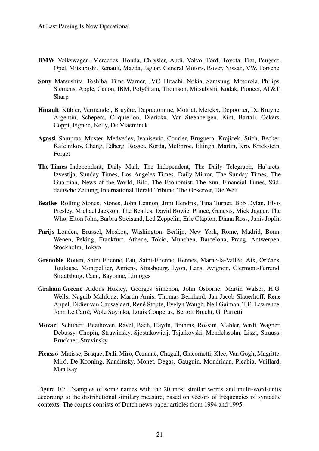- **BMW** Volkswagen, Mercedes, Honda, Chrysler, Audi, Volvo, Ford, Toyota, Fiat, Peugeot, Opel, Mitsubishi, Renault, Mazda, Jaguar, General Motors, Rover, Nissan, VW, Porsche
- **Sony** Matsushita, Toshiba, Time Warner, JVC, Hitachi, Nokia, Samsung, Motorola, Philips, Siemens, Apple, Canon, IBM, PolyGram, Thomson, Mitsubishi, Kodak, Pioneer, AT&T, Sharp
- **Hinault** Kübler, Vermandel, Bruyère, Depredomme, Mottiat, Merckx, Depoorter, De Bruyne, Argentin, Schepers, Criquielion, Dierickx, Van Steenbergen, Kint, Bartali, Ockers, Coppi, Fignon, Kelly, De Vlaeminck
- **Agassi** Sampras, Muster, Medvedev, Ivanisevic, Courier, Bruguera, Krajicek, Stich, Becker, Kafelnikov, Chang, Edberg, Rosset, Korda, McEnroe, Eltingh, Martin, Kro, Krickstein, Forget
- **The Times** Independent, Daily Mail, The Independent, The Daily Telegraph, Ha'arets, Izvestija, Sunday Times, Los Angeles Times, Daily Mirror, The Sunday Times, The Guardian, News of the World, Bild, The Economist, The Sun, Financial Times, Süddeutsche Zeitung, International Herald Tribune, The Observer, Die Welt
- **Beatles** Rolling Stones, Stones, John Lennon, Jimi Hendrix, Tina Turner, Bob Dylan, Elvis Presley, Michael Jackson, The Beatles, David Bowie, Prince, Genesis, Mick Jagger, The Who, Elton John, Barbra Streisand, Led Zeppelin, Eric Clapton, Diana Ross, Janis Joplin
- **Parijs** Londen, Brussel, Moskou, Washington, Berlijn, New York, Rome, Madrid, Bonn, Wenen, Peking, Frankfurt, Athene, Tokio, München, Barcelona, Praag, Antwerpen, Stockholm, Tokyo
- **Grenoble** Rouen, Saint Etienne, Pau, Saint-Etienne, Rennes, Marne-la-Vallée, Aix, Orléans, Toulouse, Montpellier, Amiens, Strasbourg, Lyon, Lens, Avignon, Clermont-Ferrand, Straatsburg, Caen, Bayonne, Limoges
- **Graham Greene** Aldous Huxley, Georges Simenon, John Osborne, Martin Walser, H.G. Wells, Naguib Mahfouz, Martin Amis, Thomas Bernhard, Jan Jacob Slauerhoff, René Appel, Didier van Cauwelaert, René Stoute, Evelyn Waugh, Neil Gaiman, T.E. Lawrence, John Le Carré, Wole Soyinka, Louis Couperus, Bertolt Brecht, G. Parretti
- **Mozart** Schubert, Beethoven, Ravel, Bach, Haydn, Brahms, Rossini, Mahler, Verdi, Wagner, Debussy, Chopin, Strawinsky, Sjostakowitsj, Tsjaikovski, Mendelssohn, Liszt, Strauss, Bruckner, Stravinsky
- **Picasso** Matisse, Braque, Dali, Miro, Cézanne, Chagall, Giacometti, Klee, Van Gogh, Magritte, Miró, De Kooning, Kandinsky, Monet, Degas, Gauguin, Mondriaan, Picabia, Vuillard, Man Ray

Figure 10: Examples of some names with the 20 most similar words and multi-word-units according to the distributional similary measure, based on vectors of frequencies of syntactic contexts. The corpus consists of Dutch news-paper articles from 1994 and 1995.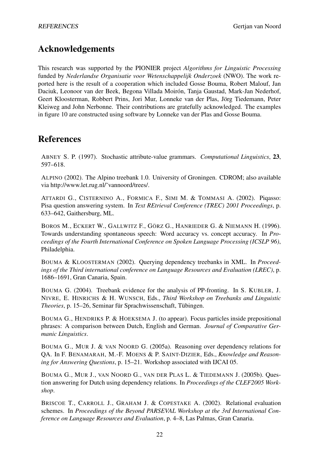# **Acknowledgements**

This research was supported by the PIONIER project *Algorithms for Linguistic Processing* funded by *Nederlandse Organisatie voor Wetenschappelijk Onderzoek* (NWO). The work reported here is the result of a cooperation which included Gosse Bouma, Robert Malouf, Jan Daciuk, Leonoor van der Beek, Begona Villada Moirón, Tanja Gaustad, Mark-Jan Nederhof, Geert Kloosterman, Robbert Prins, Jori Mur, Lonneke van der Plas, Jörg Tiedemann, Peter Kleiweg and John Nerbonne. Their contributions are gratefully acknowledged. The examples in figure 10 are constructed using software by Lonneke van der Plas and Gosse Bouma.

### **References**

ABNEY S. P. (1997). Stochastic attribute-value grammars. *Computational Linguistics*, **23**, 597–618.

ALPINO (2002). The Alpino treebank 1.0. University of Groningen. CDROM; also available via http://www.let.rug.nl/˜vannoord/trees/.

ATTARDI G., CISTERNINO A., FORMICA F., SIMI M. & TOMMASI A. (2002). Piqasso: Pisa question answering system. In *Text REtrieval Conference (TREC) 2001 Proceedings*, p. 633–642, Gaithersburg, ML.

BOROS M., ECKERT W., GALLWITZ F., GÖRZ G., HANRIEDER G. & NIEMANN H. (1996). Towards understanding spontaneous speech: Word accuracy vs. concept accuracy. In *Proceedings of the Fourth International Conference on Spoken Language Processing (ICSLP 96)*, Philadelphia.

BOUMA & KLOOSTERMAN (2002). Querying dependency treebanks in XML. In *Proceedings of the Third international conference on Language Resources and Evaluation (LREC)*, p. 1686–1691, Gran Canaria, Spain.

BOUMA G. (2004). Treebank evidence for the analysis of PP-fronting. In S. KUBLER, J. NIVRE, E. HINRICHS & H. WUNSCH, Eds., *Third Workshop on Treebanks and Linguistic Theories*, p. 15–26, Seminar für Sprachwissenschaft, Tübingen.

BOUMA G., HENDRIKS P. & HOEKSEMA J. (to appear). Focus particles inside prepositional phrases: A comparison between Dutch, English and German. *Journal of Comparative Germanic Linguistics*.

BOUMA G., MUR J. & VAN NOORD G. (2005a). Reasoning over dependency relations for QA. In F. BENAMARAH, M.-F. MOENS & P. SAINT-DIZIER, Eds., *Knowledge and Reasoning for Answering Questions*, p. 15–21. Workshop associated with IJCAI 05.

BOUMA G., MUR J., VAN NOORD G., VAN DER PLAS L. & TIEDEMANN J. (2005b). Question answering for Dutch using dependency relations. In *Proceedings of the CLEF2005 Workshop*.

BRISCOE T., CARROLL J., GRAHAM J. & COPESTAKE A. (2002). Relational evaluation schemes. In *Proceedings of the Beyond PARSEVAL Workshop at the 3rd International Conference on Language Resources and Evaluation*, p. 4–8, Las Palmas, Gran Canaria.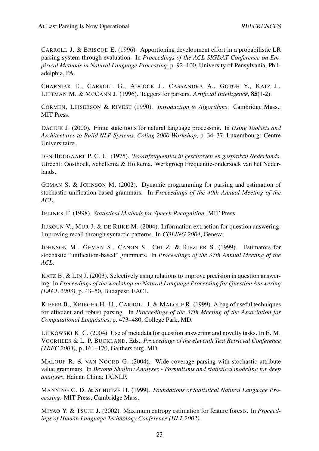CARROLL J. & BRISCOE E. (1996). Apportioning development effort in a probabilistic LR parsing system through evaluation. In *Proceedings of the ACL SIGDAT Conference on Empirical Methods in Natural Language Processing*, p. 92–100, University of Pensylvania, Philadelphia, PA.

CHARNIAK E., CARROLL G., ADCOCK J., CASSANDRA A., GOTOH Y., KATZ J., LITTMAN M. & MCCANN J. (1996). Taggers for parsers. *Artificial Intelligence*, **85**(1-2).

CORMEN, LEISERSON & RIVEST (1990). *Introduction to Algorithms*. Cambridge Mass.: MIT Press.

DACIUK J. (2000). Finite state tools for natural language processing. In *Using Toolsets and Architectures to Build NLP Systems. Coling 2000 Workshop*, p. 34–37, Luxembourg: Centre Universitaire.

DEN BOOGAART P. C. U. (1975). *Woordfrequenties in geschreven en gesproken Nederlands*. Utrecht: Oosthoek, Scheltema & Holkema. Werkgroep Frequentie-onderzoek van het Nederlands.

GEMAN S. & JOHNSON M. (2002). Dynamic programming for parsing and estimation of stochastic unification-based grammars. In *Proceedings of the 40th Annual Meeting of the ACL*.

JELINEK F. (1998). *Statistical Methods for Speech Recognition*. MIT Press.

JIJKOUN V., MUR J. & DE RIJKE M. (2004). Information extraction for question answering: Improving recall through syntactic patterns. In *COLING 2004*, Geneva.

JOHNSON M., GEMAN S., CANON S., CHI Z. & RIEZLER S. (1999). Estimators for stochastic "unification-based" grammars. In *Proceedings of the 37th Annual Meeting of the ACL*.

KATZ B. & LIN J. (2003). Selectively using relations to improve precision in question answering. In *Proceedings of the workshop on Natural Language Processing for Question Answering (EACL 2003)*, p. 43–50, Budapest: EACL.

KIEFER B., KRIEGER H.-U., CARROLL J. & MALOUF R. (1999). A bag of useful techniques for efficient and robust parsing. In *Proceedings of the 37th Meeting of the Association for Computational Linguistics*, p. 473–480, College Park, MD.

LITKOWSKI K. C. (2004). Use of metadata for question answering and novelty tasks. In E. M. VOORHEES & L. P. BUCKLAND, Eds., *Proceedings of the eleventh Text Retrieval Conference (TREC 2003)*, p. 161–170, Gaithersburg, MD.

MALOUF R. & VAN NOORD G. (2004). Wide coverage parsing with stochastic attribute value grammars. In *Beyond Shallow Analyses - Formalisms and statistical modeling for deep analyses*, Hainan China: IJCNLP.

MANNING C. D. & SCHÜTZE H. (1999). *Foundations of Statistical Natural Language Processing*. MIT Press, Cambridge Mass.

MIYAO Y. & TSUJII J. (2002). Maximum entropy estimation for feature forests. In *Proceedings of Human Language Technology Conference (HLT 2002)*.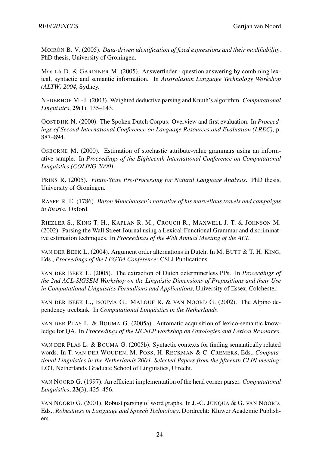MOIRÓN B. V. (2005). *Data-driven identification of fixed expressions and their modifiability*. PhD thesis, University of Groningen.

MOLLÁ D. & GARDINER M. (2005). Answerfinder - question answering by combining lexical, syntactic and semantic information. In *Australasian Language Technology Workshop (ALTW) 2004*, Sydney.

NEDERHOF M.-J. (2003). Weighted deductive parsing and Knuth's algorithm. *Computational Linguistics*, **29**(1), 135–143.

OOSTDIJK N. (2000). The Spoken Dutch Corpus: Overview and first evaluation. In *Proceedings of Second International Conference on Language Resources and Evaluation (LREC)*, p. 887–894.

OSBORNE M. (2000). Estimation of stochastic attribute-value grammars using an informative sample. In *Proceedings of the Eighteenth International Conference on Computational Linguistics (COLING 2000)*.

PRINS R. (2005). *Finite-State Pre-Processing for Natural Language Analysis*. PhD thesis, University of Groningen.

RASPE R. E. (1786). *Baron Munchausen's narrative of his marvellous travels and campaigns in Russia*. Oxford.

RIEZLER S., KING T. H., KAPLAN R. M., CROUCH R., MAXWELL J. T. & JOHNSON M. (2002). Parsing the Wall Street Journal using a Lexical-Functional Grammar and discriminative estimation techniques. In *Proceedings of the 40th Annual Meeting of the ACL*.

VAN DER BEEK L. (2004). Argument order alternations in Dutch. In M. BUTT & T. H. KING, Eds., *Proceedings of the LFG'04 Conference*: CSLI Publications.

VAN DER BEEK L. (2005). The extraction of Dutch determinerless PPs. In *Proceedings of the 2nd ACL-SIGSEM Workshop on the Linguistic Dimensions of Prepositions and their Use in Computational Linguistics Formalisms and Applications*, University of Essex, Colchester.

VAN DER BEEK L., BOUMA G., MALOUF R. & VAN NOORD G. (2002). The Alpino dependency treebank. In *Computational Linguistics in the Netherlands*.

VAN DER PLAS L. & BOUMA G. (2005a). Automatic acquisition of lexico-semantic knowledge for QA. In *Proceedings of the IJCNLP workshop on Ontologies and Lexical Resources*.

VAN DER PLAS L. & BOUMA G. (2005b). Syntactic contexts for finding semantically related words. In T. VAN DER WOUDEN, M. POSS, H. RECKMAN & C. CREMERS, Eds., *Computational Linguistics in the Netherlands 2004. Selected Papers from the fifteenth CLIN meeting*: LOT, Netherlands Graduate School of Linguistics, Utrecht.

VAN NOORD G. (1997). An efficient implementation of the head corner parser. *Computational Linguistics*, **23**(3), 425–456.

VAN NOORD G. (2001). Robust parsing of word graphs. In J.-C. JUNQUA & G. VAN NOORD, Eds., *Robustness in Language and Speech Technology*. Dordrecht: Kluwer Academic Publishers.